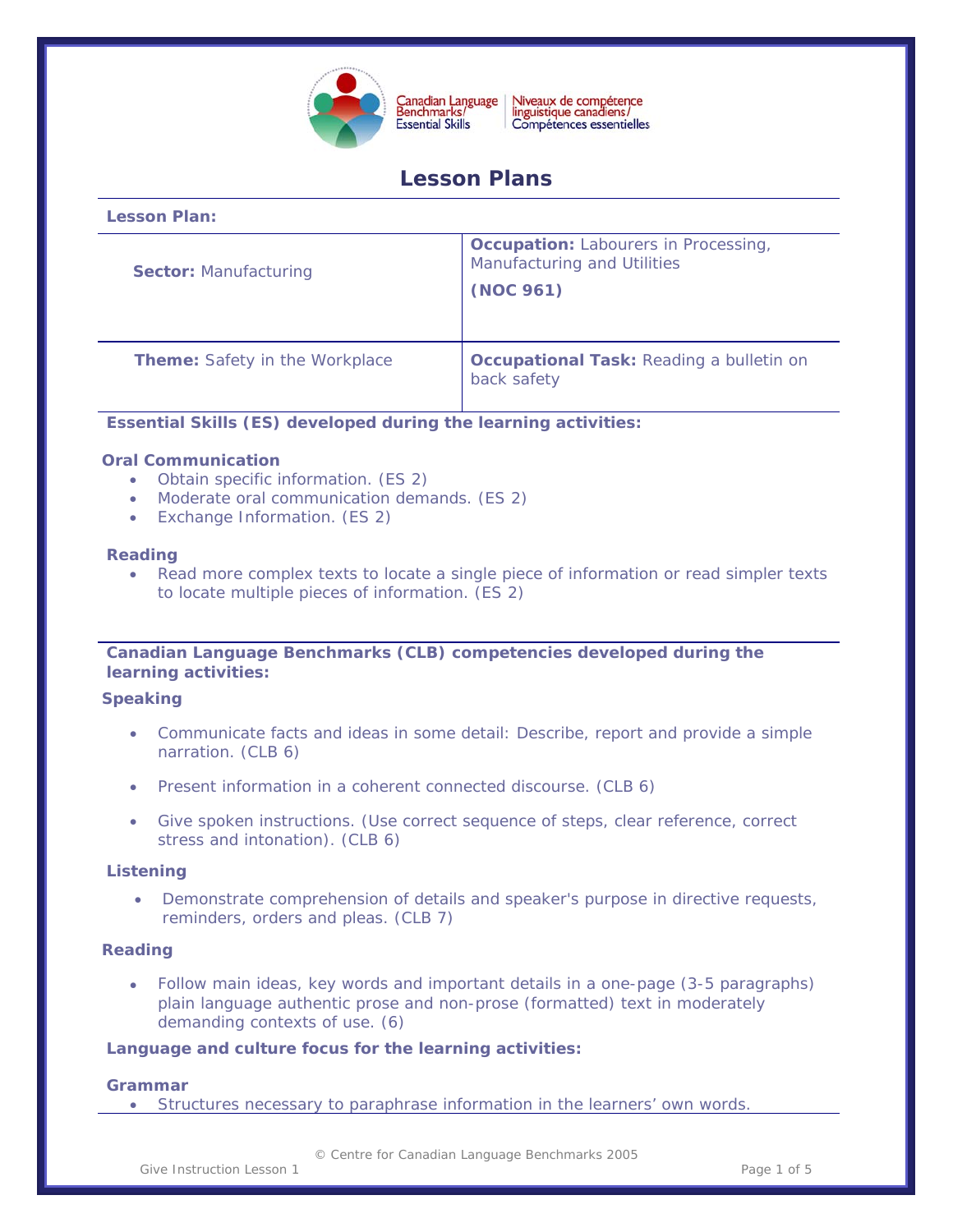

Niveaux de compétence<br>linguistique canadiens/ Compétences essentielles

# **Lesson Plans**

| Lesson Plan:                          |                                                                                         |
|---------------------------------------|-----------------------------------------------------------------------------------------|
| <b>Sector: Manufacturing</b>          | <b>Occupation:</b> Labourers in Processing,<br>Manufacturing and Utilities<br>(NOC 961) |
| <b>Theme:</b> Safety in the Workplace | <b>Occupational Task: Reading a bulletin on</b><br>back safety                          |

# **Essential Skills (ES) developed during the learning activities:**

# **Oral Communication**

**Lesson Plan:** 

- Obtain specific information. (ES 2)
- Moderate oral communication demands. (ES 2)
- Exchange Information. (ES 2)

#### **Reading**

• Read more complex texts to locate a single piece of information or read simpler texts to locate multiple pieces of information. (ES 2)

# **Canadian Language Benchmarks (CLB) competencies developed during the learning activities:**

#### **Speaking**

- Communicate facts and ideas in some detail: Describe, report and provide a simple narration. (CLB 6)
- Present information in a coherent connected discourse. (CLB 6)
- Give spoken instructions. (Use correct sequence of steps, clear reference, correct stress and intonation). (CLB 6)

# **Listening**

• Demonstrate comprehension of details and speaker's purpose in directive requests, reminders, orders and pleas. (CLB 7)

#### **Reading**

• Follow main ideas, key words and important details in a one-page (3-5 paragraphs) plain language authentic prose and non-prose (formatted) text in moderately demanding contexts of use. (6)

#### **Language and culture focus for the learning activities:**

# **Grammar**

• Structures necessary to paraphrase information in the learners' own words.

Give Instruction Lesson 1 and 1 and 1 and 1 and 1 and 1 and 1 and 1 and 1 and 1 and 1 and 1 and 1 and 1 and 1 and 1 and 1 and 1 and 1 and 1 and 1 and 1 and 1 and 1 and 1 and 1 and 1 and 1 and 1 and 1 and 1 and 1 and 1 and

© Centre for Canadian Language Benchmarks 2005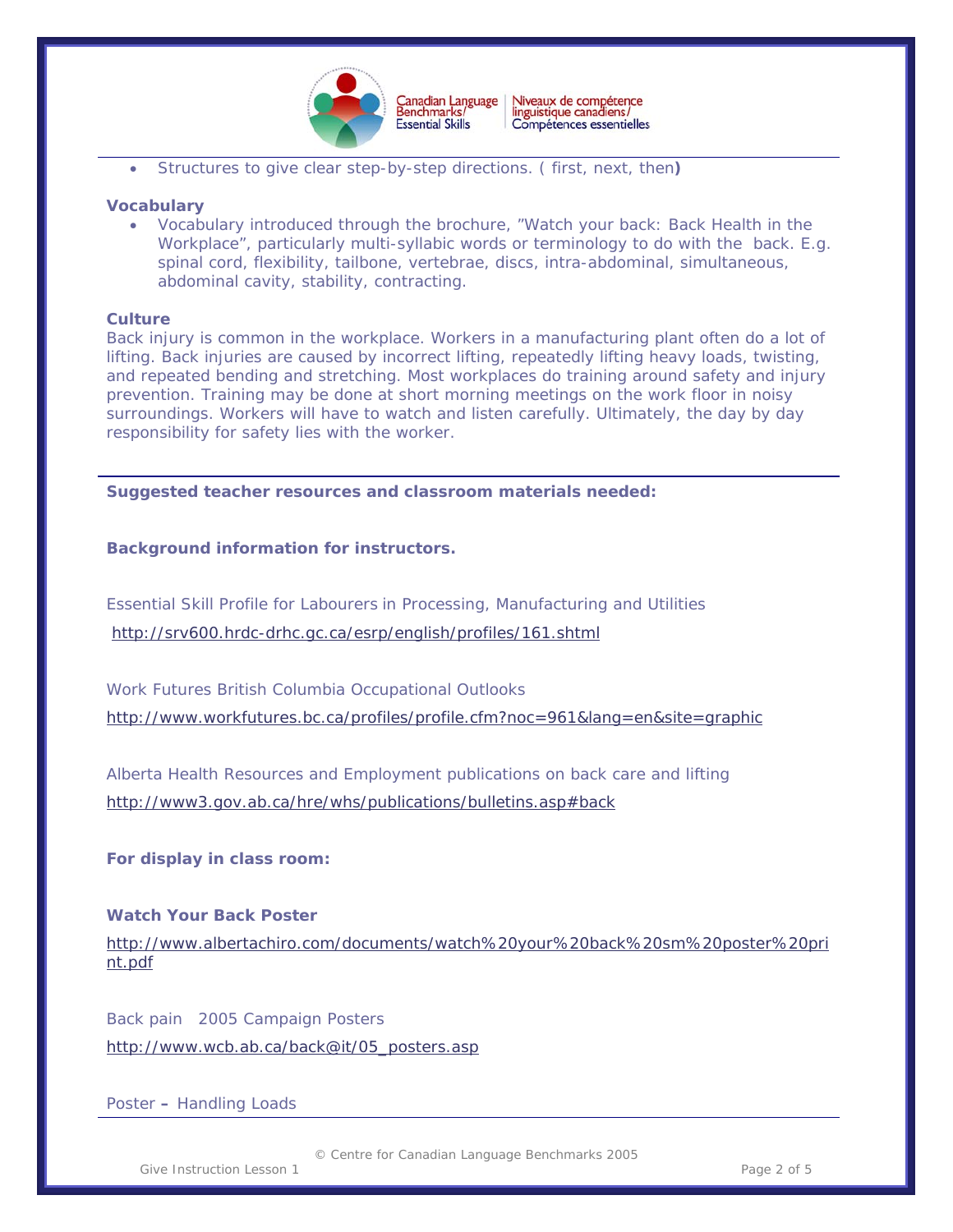

 $\overline{a}$ • Structures to give clear step-by-step directions. ( first, next, then**)** 

#### **Vocabulary**

• Vocabulary introduced through the brochure, "Watch your back: Back Health in the Workplace", particularly multi-syllabic words or terminology to do with the back. E.g. spinal cord, flexibility, tailbone, vertebrae, discs, intra-abdominal, simultaneous, abdominal cavity, stability, contracting.

#### **Culture**

Back injury is common in the workplace. Workers in a manufacturing plant often do a lot of lifting. Back injuries are caused by incorrect lifting, repeatedly lifting heavy loads, twisting, and repeated bending and stretching. Most workplaces do training around safety and injury prevention. Training may be done at short morning meetings on the work floor in noisy surroundings. Workers will have to watch and listen carefully. Ultimately, the day by day responsibility for safety lies with the worker.

**Suggested teacher resources and classroom materials needed:** 

#### **Background information for instructors.**

Essential Skill Profile for Labourers in Processing, Manufacturing and Utilities <http://srv600.hrdc-drhc.gc.ca/esrp/english/profiles/161.shtml>

Work Futures British Columbia Occupational Outlooks <http://www.workfutures.bc.ca/profiles/profile.cfm?noc=961&lang=en&site=graphic>

Alberta Health Resources and Employment publications on back care and lifting <http://www3.gov.ab.ca/hre/whs/publications/bulletins.asp#back>

#### **For display in class room:**

#### **Watch Your Back Poster**

[http://www.albertachiro.com/documents/watch%20your%20back%20sm%20poster%20pri](http://www.albertachiro.com/documents/watch%20your%20back%20sm%20poster%20print.pdf) [nt.pdf](http://www.albertachiro.com/documents/watch%20your%20back%20sm%20poster%20print.pdf)

Back pain2005 Campaign Posters [http://www.wcb.ab.ca/back@it/05\\_posters.asp](http://www.wcb.ab.ca/back@it/05_posters.asp)

Poster **–** Handling Loads

Give Instruction Lesson 1 and 1 and 1 and 1 and 1 and 1 and 1 and 1 and 1 and 1 and 1 and 1 and 1 and 1 and 1 and 1 and 1 and 1 and 1 and 1 and 1 and 1 and 1 and 1 and 1 and 1 and 1 and 1 and 1 and 1 and 1 and 1 and 1 and

© Centre for Canadian Language Benchmarks 2005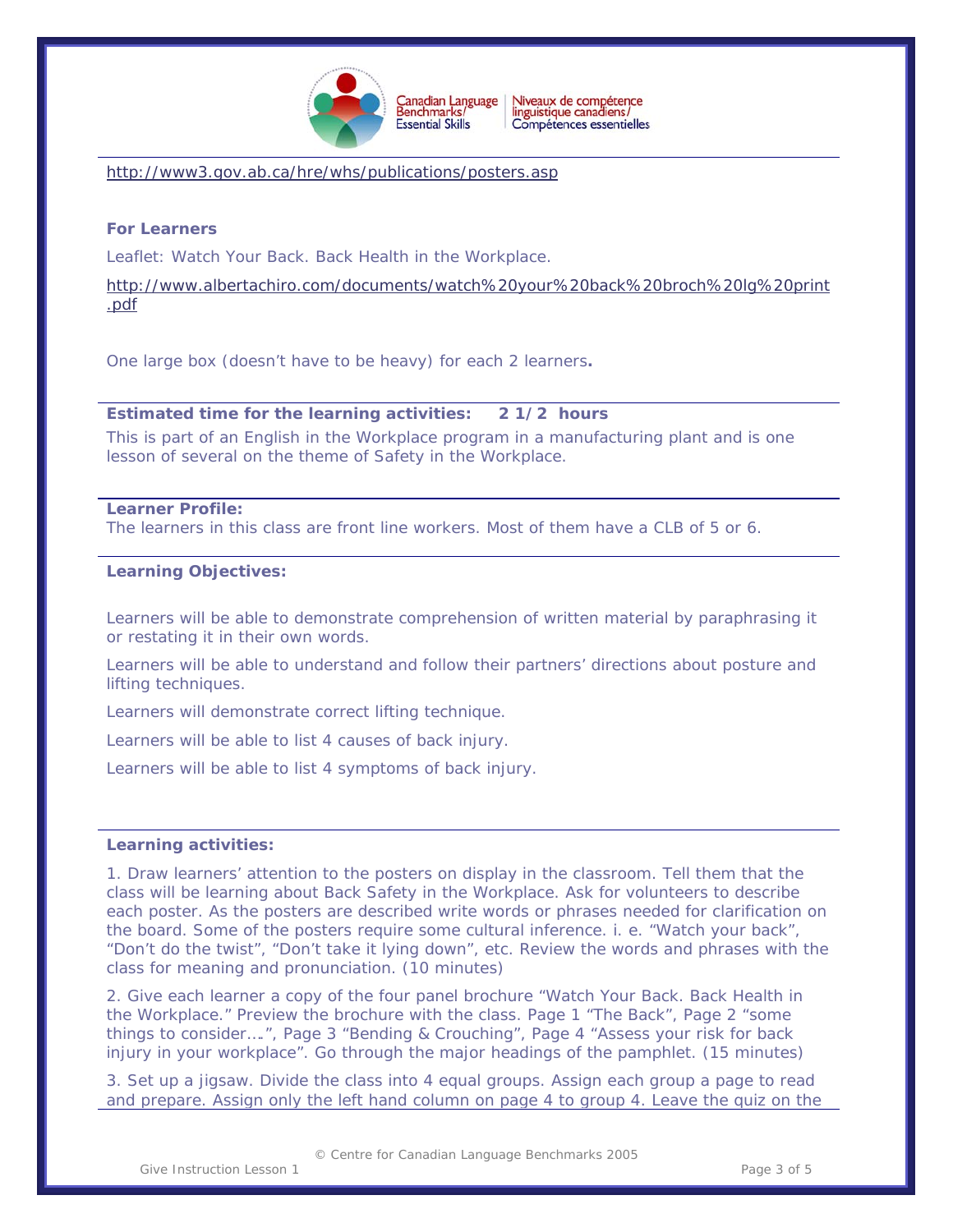

 $\overline{a}$ 

<http://www3.gov.ab.ca/hre/whs/publications/posters.asp>

# **For Learners**

Leaflet: Watch Your Back. Back Health in the Workplace.

[http://www.albertachiro.com/documents/watch%20your%20back%20broch%20lg%20print](http://www.albertachiro.com/documents/watch%20your%20back%20broch%20lg%20print.pdf) [.pdf](http://www.albertachiro.com/documents/watch%20your%20back%20broch%20lg%20print.pdf)

One large box (doesn't have to be heavy) for each 2 learners**.** 

#### **Estimated time for the learning activities: 2 1/2 hours**

This is part of an English in the Workplace program in a manufacturing plant and is one lesson of several on the theme of Safety in the Workplace.

#### **Learner Profile:**

The learners in this class are front line workers. Most of them have a CLB of 5 or 6.

#### **Learning Objectives:**

Learners will be able to demonstrate comprehension of written material by paraphrasing it or restating it in their own words.

Learners will be able to understand and follow their partners' directions about posture and lifting techniques.

Learners will demonstrate correct lifting technique.

Learners will be able to list 4 causes of back injury.

Learners will be able to list 4 symptoms of back injury.

#### **Learning activities:**

1. Draw learners' attention to the posters on display in the classroom. Tell them that the class will be learning about Back Safety in the Workplace. Ask for volunteers to describe each poster. As the posters are described write words or phrases needed for clarification on the board. Some of the posters require some cultural inference. i. e. "Watch your back", "Don't do the twist", "Don't take it lying down", etc. Review the words and phrases with the class for meaning and pronunciation. (10 minutes)

2. Give each learner a copy of the four panel brochure "Watch Your Back. Back Health in the Workplace." Preview the brochure with the class. Page 1 "The Back", Page 2 "some things to consider….", Page 3 "Bending & Crouching", Page 4 "Assess your risk for back injury in your workplace". Go through the major headings of the pamphlet. (15 minutes)

3. Set up a jigsaw. Divide the class into 4 equal groups. Assign each group a page to read and prepare. Assign only the left hand column on page 4 to group 4. Leave the quiz on the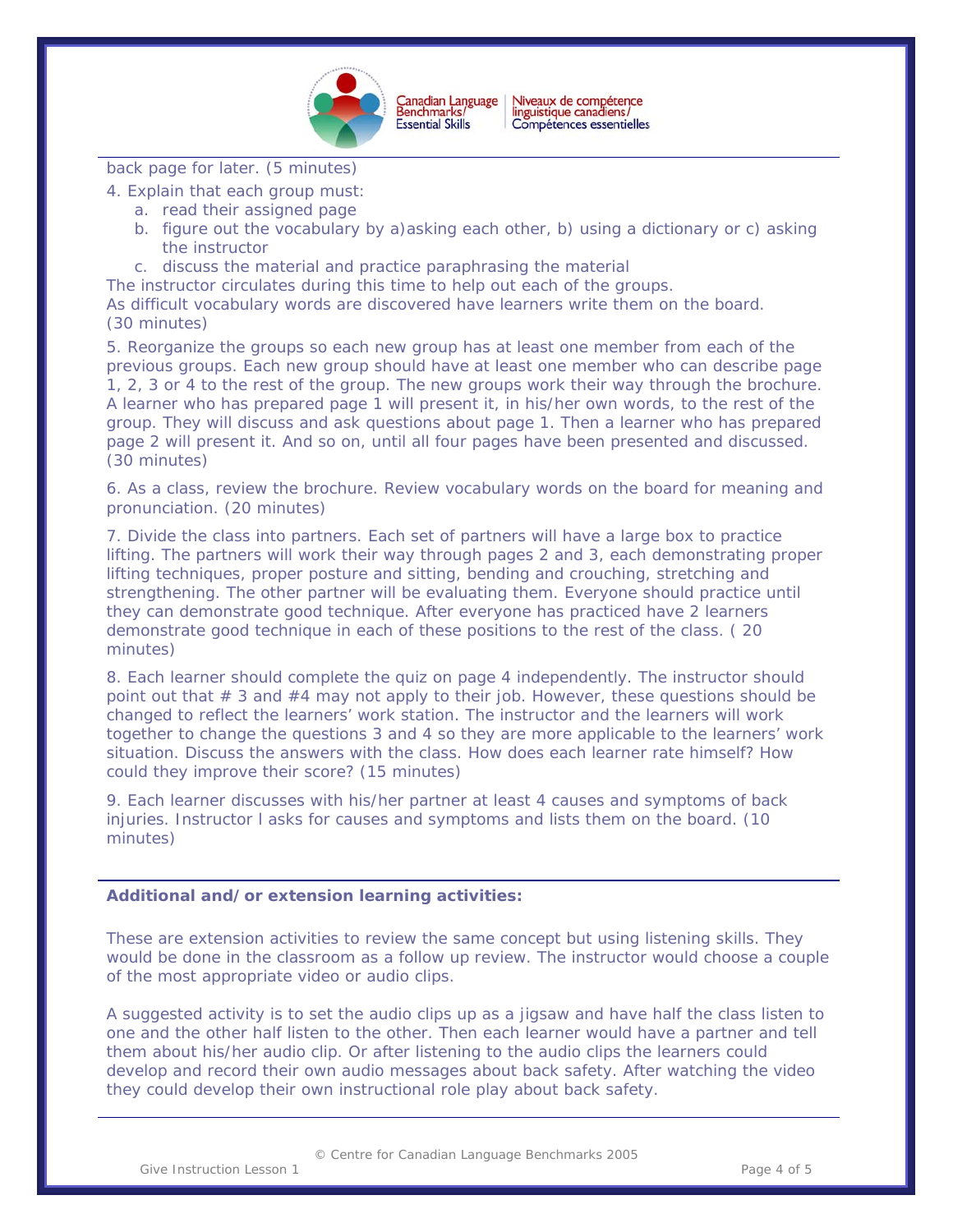

Canadian Language<br>Benchmarks/ Niveaux de compétence<br>linguistique canadiens/ Compétences essentielles

 $\overline{a}$ 

back page for later. (5 minutes)

- 4. Explain that each group must:
	- a. read their assigned page
	- b. figure out the vocabulary by a)asking each other, b) using a dictionary or c) asking the instructor
	- c. discuss the material and practice paraphrasing the material

The instructor circulates during this time to help out each of the groups.

As difficult vocabulary words are discovered have learners write them on the board. (30 minutes)

5. Reorganize the groups so each new group has at least one member from each of the previous groups. Each new group should have at least one member who can describe page 1, 2, 3 or 4 to the rest of the group. The new groups work their way through the brochure. A learner who has prepared page 1 will present it, in his/her own words, to the rest of the group. They will discuss and ask questions about page 1. Then a learner who has prepared page 2 will present it. And so on, until all four pages have been presented and discussed. (30 minutes)

6. As a class, review the brochure. Review vocabulary words on the board for meaning and pronunciation. (20 minutes)

7. Divide the class into partners. Each set of partners will have a large box to practice lifting. The partners will work their way through pages 2 and 3, each demonstrating proper lifting techniques, proper posture and sitting, bending and crouching, stretching and strengthening. The other partner will be evaluating them. Everyone should practice until they can demonstrate good technique. After everyone has practiced have 2 learners demonstrate good technique in each of these positions to the rest of the class. ( 20 minutes)

8. Each learner should complete the quiz on page 4 independently. The instructor should point out that  $\#$  3 and  $\#$ 4 may not apply to their job. However, these questions should be changed to reflect the learners' work station. The instructor and the learners will work together to change the questions 3 and 4 so they are more applicable to the learners' work situation. Discuss the answers with the class. How does each learner rate himself? How could they improve their score? (15 minutes)

9. Each learner discusses with his/her partner at least 4 causes and symptoms of back injuries. Instructor l asks for causes and symptoms and lists them on the board. (10 minutes)

#### **Additional and/or extension learning activities:**

These are extension activities to review the same concept but using listening skills. They would be done in the classroom as a follow up review. The instructor would choose a couple of the most appropriate video or audio clips.

A suggested activity is to set the audio clips up as a jigsaw and have half the class listen to one and the other half listen to the other. Then each learner would have a partner and tell them about his/her audio clip. Or after listening to the audio clips the learners could develop and record their own audio messages about back safety. After watching the video they could develop their own instructional role play about back safety.

© Centre for Canadian Language Benchmarks 2005

Give Instruction Lesson 1 **Page 4 of 5** Page 4 of 5